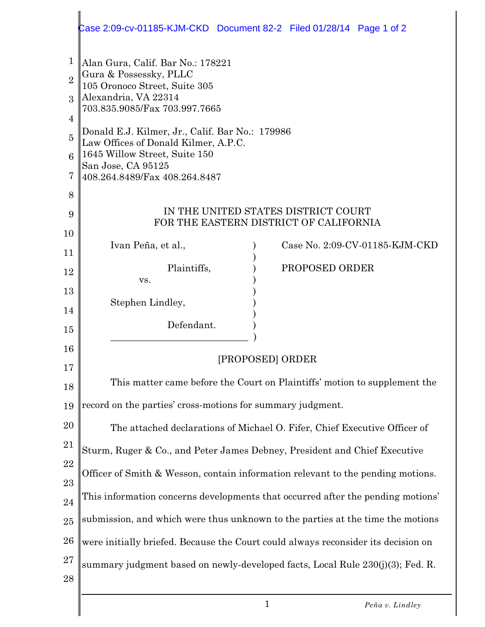|                                                                       | Case 2:09-cv-01185-KJM-CKD Document 82-2 Filed 01/28/14 Page 1 of 2                                                                                                                                                                                                                                                                      |
|-----------------------------------------------------------------------|------------------------------------------------------------------------------------------------------------------------------------------------------------------------------------------------------------------------------------------------------------------------------------------------------------------------------------------|
| 1<br>$\overline{2}$<br>$\mathcal{S}$<br>4<br>$\overline{5}$<br>6<br>7 | Alan Gura, Calif. Bar No.: 178221<br>Gura & Possessky, PLLC<br>105 Oronoco Street, Suite 305<br>Alexandria, VA 22314<br>703.835.9085/Fax 703.997.7665<br>Donald E.J. Kilmer, Jr., Calif. Bar No.: 179986<br>Law Offices of Donald Kilmer, A.P.C.<br>1645 Willow Street, Suite 150<br>San Jose, CA 95125<br>408.264.8489/Fax 408.264.8487 |
| 8                                                                     |                                                                                                                                                                                                                                                                                                                                          |
| 9                                                                     | IN THE UNITED STATES DISTRICT COURT                                                                                                                                                                                                                                                                                                      |
| 10                                                                    | FOR THE EASTERN DISTRICT OF CALIFORNIA                                                                                                                                                                                                                                                                                                   |
| 11                                                                    | Case No. 2:09-CV-01185-KJM-CKD<br>Ivan Peña, et al.,                                                                                                                                                                                                                                                                                     |
| 12                                                                    | Plaintiffs,<br>PROPOSED ORDER                                                                                                                                                                                                                                                                                                            |
| 13                                                                    | VS.                                                                                                                                                                                                                                                                                                                                      |
| 14                                                                    | Stephen Lindley,                                                                                                                                                                                                                                                                                                                         |
| 15                                                                    | Defendant.                                                                                                                                                                                                                                                                                                                               |
| 16                                                                    |                                                                                                                                                                                                                                                                                                                                          |
| 17                                                                    | [PROPOSED] ORDER                                                                                                                                                                                                                                                                                                                         |
| 18                                                                    | This matter came before the Court on Plaintiffs' motion to supplement the                                                                                                                                                                                                                                                                |
| 19                                                                    | record on the parties' cross-motions for summary judgment.                                                                                                                                                                                                                                                                               |
| 20                                                                    | The attached declarations of Michael O. Fifer, Chief Executive Officer of                                                                                                                                                                                                                                                                |
| 21                                                                    | Sturm, Ruger & Co., and Peter James Debney, President and Chief Executive                                                                                                                                                                                                                                                                |
| 22                                                                    | Officer of Smith & Wesson, contain information relevant to the pending motions.                                                                                                                                                                                                                                                          |
| 23                                                                    |                                                                                                                                                                                                                                                                                                                                          |
| 24                                                                    | This information concerns developments that occurred after the pending motions'                                                                                                                                                                                                                                                          |
| 25                                                                    | submission, and which were thus unknown to the parties at the time the motions                                                                                                                                                                                                                                                           |
| 26                                                                    | were initially briefed. Because the Court could always reconsider its decision on                                                                                                                                                                                                                                                        |
| 27<br>28                                                              | summary judgment based on newly-developed facts, Local Rule 230(j)(3); Fed. R.                                                                                                                                                                                                                                                           |